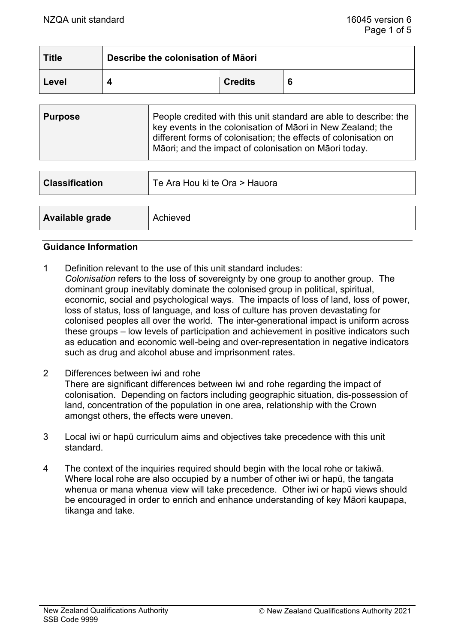| <b>Title</b> | Describe the colonisation of Māori |                |  |
|--------------|------------------------------------|----------------|--|
| Level        |                                    | <b>Credits</b> |  |

| <b>Purpose</b> | People credited with this unit standard are able to describe: the<br>key events in the colonisation of Māori in New Zealand; the<br>different forms of colonisation; the effects of colonisation on |  |
|----------------|-----------------------------------------------------------------------------------------------------------------------------------------------------------------------------------------------------|--|
|                | Māori; and the impact of colonisation on Māori today.                                                                                                                                               |  |

| <b>Classification</b> | Te Ara Hou ki te Ora > Hauora |
|-----------------------|-------------------------------|
|                       |                               |
| Available grade       | Achieved                      |

#### **Guidance Information**

- 1 Definition relevant to the use of this unit standard includes: *Colonisation* refers to the loss of sovereignty by one group to another group. The dominant group inevitably dominate the colonised group in political, spiritual, economic, social and psychological ways. The impacts of loss of land, loss of power, loss of status, loss of language, and loss of culture has proven devastating for colonised peoples all over the world. The inter-generational impact is uniform across these groups – low levels of participation and achievement in positive indicators such as education and economic well-being and over-representation in negative indicators such as drug and alcohol abuse and imprisonment rates.
- 2 Differences between iwi and rohe There are significant differences between iwi and rohe regarding the impact of colonisation. Depending on factors including geographic situation, dis-possession of land, concentration of the population in one area, relationship with the Crown amongst others, the effects were uneven.
- 3 Local iwi or hapū curriculum aims and objectives take precedence with this unit standard.
- 4 The context of the inquiries required should begin with the local rohe or takiwā. Where local rohe are also occupied by a number of other iwi or hapū, the tangata whenua or mana whenua view will take precedence. Other iwi or hapu views should be encouraged in order to enrich and enhance understanding of key Māori kaupapa, tikanga and take.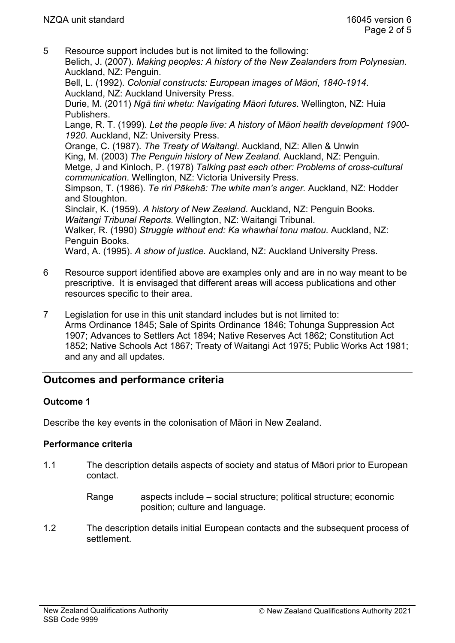5 Resource support includes but is not limited to the following: Belich, J. (2007). *Making peoples: A history of the New Zealanders from Polynesian.* Auckland, NZ: Penguin.

Bell, L. (1992). *Colonial constructs: European images of Māori*, *1840-1914*. Auckland, NZ: Auckland University Press.

Durie, M. (2011) *Ngā tini whetu: Navigating Māori futures*. Wellington, NZ: Huia Publishers.

Lange, R. T. (1999). *Let the people live: A history of Māori health development 1900- 1920.* Auckland, NZ: University Press.

Orange, C. (1987). *The Treaty of Waitangi*. Auckland, NZ: Allen & Unwin King, M. (2003) *The Penguin history of New Zealand.* Auckland, NZ: Penguin. Metge, J and Kinloch, P. (1978) *Talking past each other: Problems of cross-cultural communication*. Wellington, NZ: Victoria University Press.

Simpson, T. (1986). *Te riri Pākehā: The white man's anger.* Auckland, NZ: Hodder and Stoughton.

Sinclair, K. (1959). *A history of New Zealand*. Auckland, NZ: Penguin Books. *Waitangi Tribunal Reports.* Wellington, NZ: Waitangi Tribunal.

Walker, R. (1990) *Struggle without end: Ka whawhai tonu matou.* Auckland, NZ: Penguin Books.

Ward, A. (1995). *A show of justice.* Auckland, NZ: Auckland University Press.

- 6 Resource support identified above are examples only and are in no way meant to be prescriptive. It is envisaged that different areas will access publications and other resources specific to their area.
- 7 Legislation for use in this unit standard includes but is not limited to: Arms Ordinance 1845; Sale of Spirits Ordinance 1846; Tohunga Suppression Act 1907; Advances to Settlers Act 1894; Native Reserves Act 1862; Constitution Act 1852; Native Schools Act 1867; Treaty of Waitangi Act 1975; Public Works Act 1981; and any and all updates.

# **Outcomes and performance criteria**

## **Outcome 1**

Describe the key events in the colonisation of Māori in New Zealand.

## **Performance criteria**

1.1 The description details aspects of society and status of Māori prior to European contact.

> Range aspects include – social structure; political structure; economic position; culture and language.

1.2 The description details initial European contacts and the subsequent process of settlement.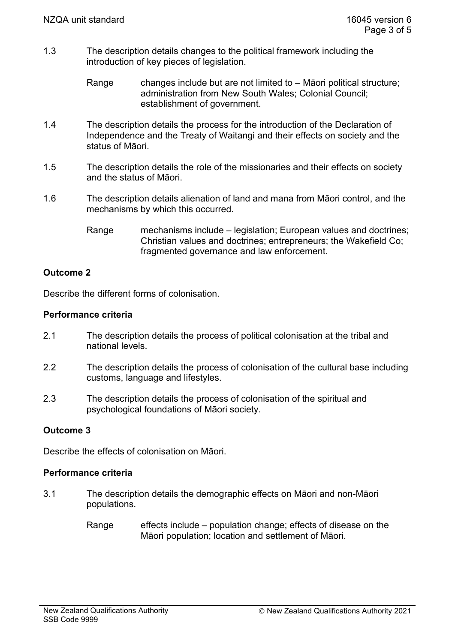- 1.3 The description details changes to the political framework including the introduction of key pieces of legislation.
	- Range changes include but are not limited to Māori political structure; administration from New South Wales; Colonial Council; establishment of government.
- 1.4 The description details the process for the introduction of the Declaration of Independence and the Treaty of Waitangi and their effects on society and the status of Māori.
- 1.5 The description details the role of the missionaries and their effects on society and the status of Māori.
- 1.6 The description details alienation of land and mana from Māori control, and the mechanisms by which this occurred.
	- Range mechanisms include legislation; European values and doctrines; Christian values and doctrines; entrepreneurs; the Wakefield Co; fragmented governance and law enforcement.

## **Outcome 2**

Describe the different forms of colonisation.

## **Performance criteria**

- 2.1 The description details the process of political colonisation at the tribal and national levels.
- 2.2 The description details the process of colonisation of the cultural base including customs, language and lifestyles.
- 2.3 The description details the process of colonisation of the spiritual and psychological foundations of Māori society.

## **Outcome 3**

Describe the effects of colonisation on Māori.

### **Performance criteria**

- 3.1 The description details the demographic effects on Māori and non-Māori populations.
	- Range effects include population change; effects of disease on the Māori population; location and settlement of Māori.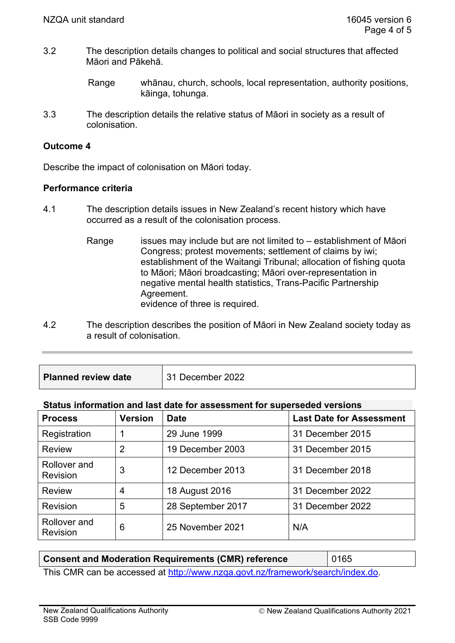3.2 The description details changes to political and social structures that affected Māori and Pākehā.

3.3 The description details the relative status of Māori in society as a result of colonisation.

### **Outcome 4**

Describe the impact of colonisation on Māori today.

### **Performance criteria**

- 4.1 The description details issues in New Zealand's recent history which have occurred as a result of the colonisation process.
	- Range issues may include but are not limited to establishment of Māori Congress; protest movements; settlement of claims by iwi; establishment of the Waitangi Tribunal; allocation of fishing quota to Māori; Māori broadcasting; Māori over-representation in negative mental health statistics, Trans-Pacific Partnership Agreement. evidence of three is required.
- 4.2 The description describes the position of Māori in New Zealand society today as a result of colonisation.
- **Planned review date** 31 December 2022

## **Status information and last date for assessment for superseded versions**

| <b>Process</b>                  | <b>Version</b> | <b>Date</b>       | <b>Last Date for Assessment</b> |
|---------------------------------|----------------|-------------------|---------------------------------|
| Registration                    |                | 29 June 1999      | 31 December 2015                |
| <b>Review</b>                   | 2              | 19 December 2003  | 31 December 2015                |
| Rollover and<br><b>Revision</b> | 3              | 12 December 2013  | 31 December 2018                |
| <b>Review</b>                   | 4              | 18 August 2016    | 31 December 2022                |
| Revision                        | 5              | 28 September 2017 | 31 December 2022                |
| Rollover and<br><b>Revision</b> | 6              | 25 November 2021  | N/A                             |

## **Consent and Moderation Requirements (CMR) reference | 0165**

This CMR can be accessed at [http://www.nzqa.govt.nz/framework/search/index.do.](http://www.nzqa.govt.nz/framework/search/index.do)

Range whānau, church, schools, local representation, authority positions, kāinga, tohunga.